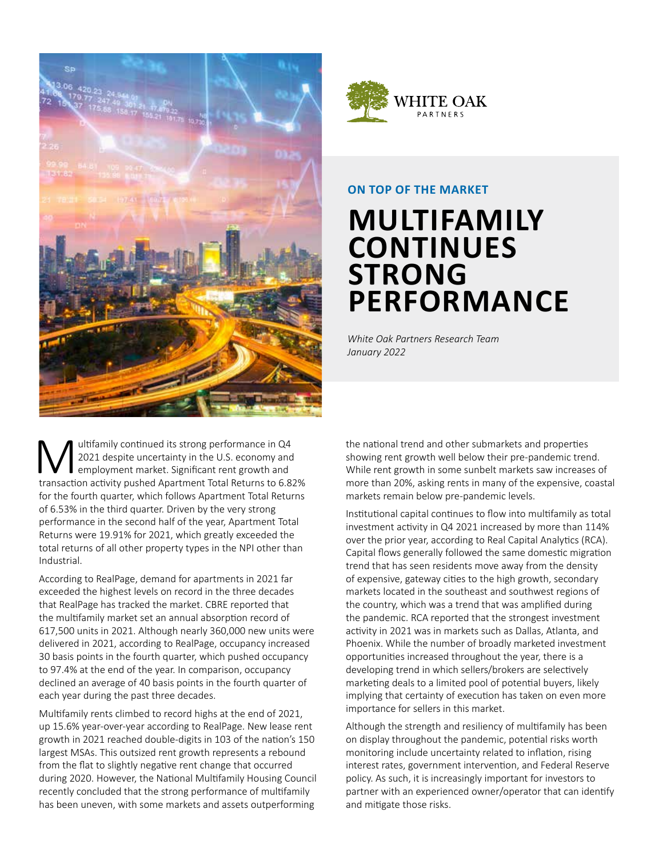



### **ON TOP OF THE MARKET**

## **MULTIFAMILY CONTINUES STRONG PERFORMANCE**

*White Oak Partners Research Team January 2022*

Wultifamily continued its strong performance in Q4<br>2021 despite uncertainty in the U.S. economy and<br>transaction activity pushed Apartment Total Beturns to 6.8 2021 despite uncertainty in the U.S. economy and employment market. Significant rent growth and transaction activity pushed Apartment Total Returns to 6.82% for the fourth quarter, which follows Apartment Total Returns of 6.53% in the third quarter. Driven by the very strong performance in the second half of the year, Apartment Total Returns were 19.91% for 2021, which greatly exceeded the total returns of all other property types in the NPI other than Industrial.

According to RealPage, demand for apartments in 2021 far exceeded the highest levels on record in the three decades that RealPage has tracked the market. CBRE reported that the multifamily market set an annual absorption record of 617,500 units in 2021. Although nearly 360,000 new units were delivered in 2021, according to RealPage, occupancy increased 30 basis points in the fourth quarter, which pushed occupancy to 97.4% at the end of the year. In comparison, occupancy declined an average of 40 basis points in the fourth quarter of each year during the past three decades.

Multifamily rents climbed to record highs at the end of 2021, up 15.6% year-over-year according to RealPage. New lease rent growth in 2021 reached double-digits in 103 of the nation's 150 largest MSAs. This outsized rent growth represents a rebound from the flat to slightly negative rent change that occurred during 2020. However, the National Multifamily Housing Council recently concluded that the strong performance of multifamily has been uneven, with some markets and assets outperforming

the national trend and other submarkets and properties showing rent growth well below their pre-pandemic trend. While rent growth in some sunbelt markets saw increases of more than 20%, asking rents in many of the expensive, coastal markets remain below pre-pandemic levels.

Institutional capital continues to flow into multifamily as total investment activity in Q4 2021 increased by more than 114% over the prior year, according to Real Capital Analytics (RCA). Capital flows generally followed the same domestic migration trend that has seen residents move away from the density of expensive, gateway cities to the high growth, secondary markets located in the southeast and southwest regions of the country, which was a trend that was amplified during the pandemic. RCA reported that the strongest investment activity in 2021 was in markets such as Dallas, Atlanta, and Phoenix. While the number of broadly marketed investment opportunities increased throughout the year, there is a developing trend in which sellers/brokers are selectively marketing deals to a limited pool of potential buyers, likely implying that certainty of execution has taken on even more importance for sellers in this market.

Although the strength and resiliency of multifamily has been on display throughout the pandemic, potential risks worth monitoring include uncertainty related to inflation, rising interest rates, government intervention, and Federal Reserve policy. As such, it is increasingly important for investors to partner with an experienced owner/operator that can identify and mitigate those risks.